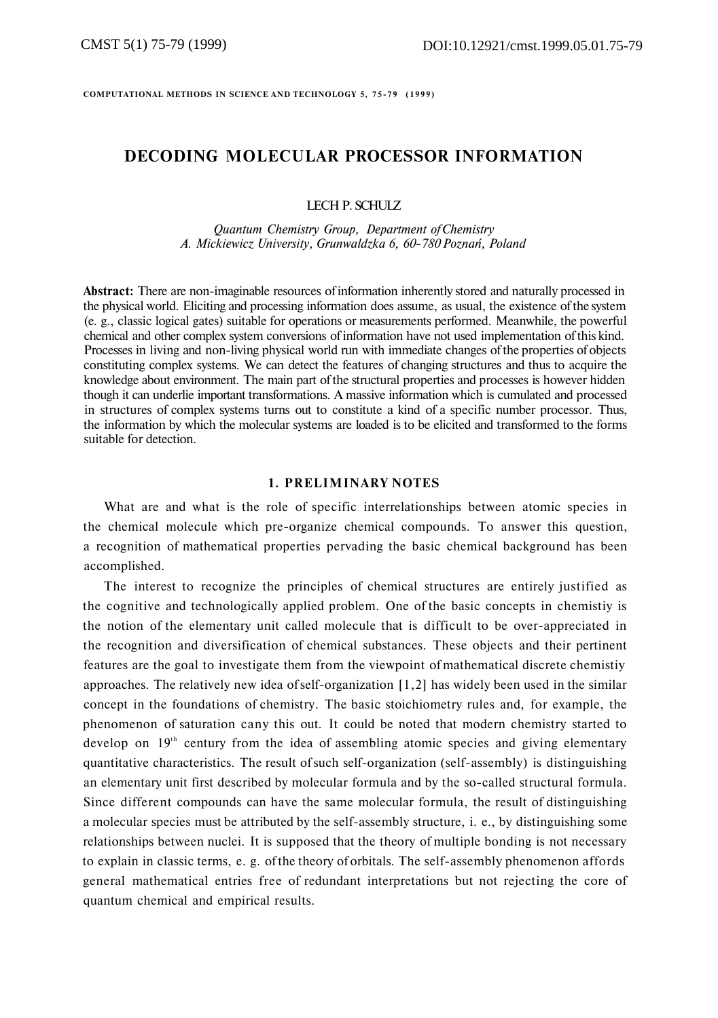**COMPUTATIONAL METHODS IN SCIENCE AND TECHNOLOGY 5, 75-7 9 (1999 )** 

# **DECODING MOLECULAR PROCESSOR INFORMATION**

### LECH P. SCHULZ

*Quantum Chemistry Group, Department of Chemistry A. Mickiewicz University, Grunwaldzka 6, 60-780 Poznań, Poland* 

**Abstract:** There are non-imaginable resources of information inherently stored and naturally processed in the physical world. Eliciting and processing information does assume, as usual, the existence of the system (e. g., classic logical gates) suitable for operations or measurements performed. Meanwhile, the powerful chemical and other complex system conversions of information have not used implementation of this kind. Processes in living and non-living physical world run with immediate changes of the properties of objects constituting complex systems. We can detect the features of changing structures and thus to acquire the knowledge about environment. The main part of the structural properties and processes is however hidden though it can underlie important transformations. A massive information which is cumulated and processed in structures of complex systems turns out to constitute a kind of a specific number processor. Thus, the information by which the molecular systems are loaded is to be elicited and transformed to the forms suitable for detection.

### **1. PRELIMINARY NOTES**

What are and what is the role of specific interrelationships between atomic species in the chemical molecule which pre-organize chemical compounds. To answer this question, a recognition of mathematical properties pervading the basic chemical background has been accomplished.

The interest to recognize the principles of chemical structures are entirely justified as the cognitive and technologically applied problem. One of the basic concepts in chemistiy is the notion of the elementary unit called molecule that is difficult to be over-appreciated in the recognition and diversification of chemical substances. These objects and their pertinent features are the goal to investigate them from the viewpoint of mathematical discrete chemistiy approaches. The relatively new idea of self-organization [1,2] has widely been used in the similar concept in the foundations of chemistry. The basic stoichiometry rules and, for example, the phenomenon of saturation cany this out. It could be noted that modern chemistry started to develop on  $19<sup>th</sup>$  century from the idea of assembling atomic species and giving elementary quantitative characteristics. The result of such self-organization (self-assembly) is distinguishing an elementary unit first described by molecular formula and by the so-called structural formula. Since different compounds can have the same molecular formula, the result of distinguishing a molecular species must be attributed by the self-assembly structure, i. e., by distinguishing some relationships between nuclei. It is supposed that the theory of multiple bonding is not necessary to explain in classic terms, e. g. of the theory of orbitals. The self-assembly phenomenon affords general mathematical entries free of redundant interpretations but not rejecting the core of quantum chemical and empirical results.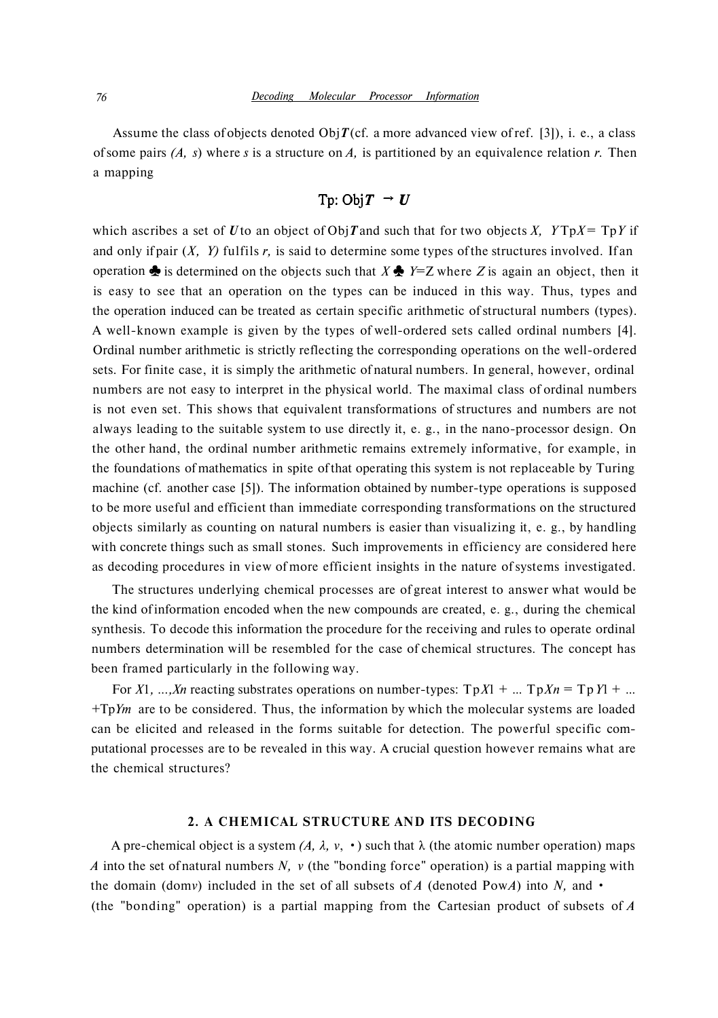Assume the class of objects denoted Obj $T$ (cf. a more advanced view of ref. [3]), i. e., a class of some pairs *(A, s*) where *s* is a structure on *A,* is partitioned by an equivalence relation *r.* Then a mapping

$$
Tp:ObjT \rightarrow U
$$

is easy to see that an operation on the types can be induced in this way. Thus, types and the operation induced can be treated as certain specific arithmetic of structural numbers (types). A well-known example is given by the types of well-ordered sets called ordinal numbers [4]. Ordinal number arithmetic is strictly reflecting the corresponding operations on the well-ordered sets. For finite case, it is simply the arithmetic of natural numbers. In general, however, ordinal numbers are not easy to interpret in the physical world. The maximal class of ordinal numbers is not even set. This shows that equivalent transformations of structures and numbers are not always leading to the suitable system to use directly it, e. g., in the nano-processor design. On the other hand, the ordinal number arithmetic remains extremely informative, for example, in the foundations of mathematics in spite of that operating this system is not replaceable by Turing machine (cf. another case [5]). The information obtained by number-type operations is supposed to be more useful and efficient than immediate corresponding transformations on the structured objects similarly as counting on natural numbers is easier than visualizing it, e. g., by handling with concrete things such as small stones. Such improvements in efficiency are considered here as decoding procedures in view of more efficient insights in the nature of systems investigated. operation  $\triangle$  is determined on the objects such that  $X \triangleq Y=Z$  where Z is again an object, then it which ascribes a set of *U* to an object of Obj*T* and such that for two objects *X*,  $YTpX = TpY$  if and only if pair (*X, Y)* fulfils *r,* is said to determine some types of the structures involved. If an

The structures underlying chemical processes are of great interest to answer what would be the kind of information encoded when the new compounds are created, e. g., during the chemical synthesis. To decode this information the procedure for the receiving and rules to operate ordinal numbers determination will be resembled for the case of chemical structures. The concept has been framed particularly in the following way.

For *X*1*, ...,Xn* reacting substrates operations on number-types:  $TpX1 + ... TpXn = TpY1 + ...$ +Tp*Ym* are to be considered. Thus, the information by which the molecular systems are loaded can be elicited and released in the forms suitable for detection. The powerful specific computational processes are to be revealed in this way. A crucial question however remains what are the chemical structures?

### **2. A CHEMICAL STRUCTURE AND ITS DECODING**

A pre-chemical object is a system  $(A, \lambda, v, \cdot)$  such that  $\lambda$  (the atomic number operation) maps *A* into the set of natural numbers *N, v* (the "bonding force" operation) is a partial mapping with the domain (dom*v*) included in the set of all subsets of A (denoted PowA) into N, and  $\cdot$ (the "bonding" operation) is a partial mapping from the Cartesian product of subsets of *A*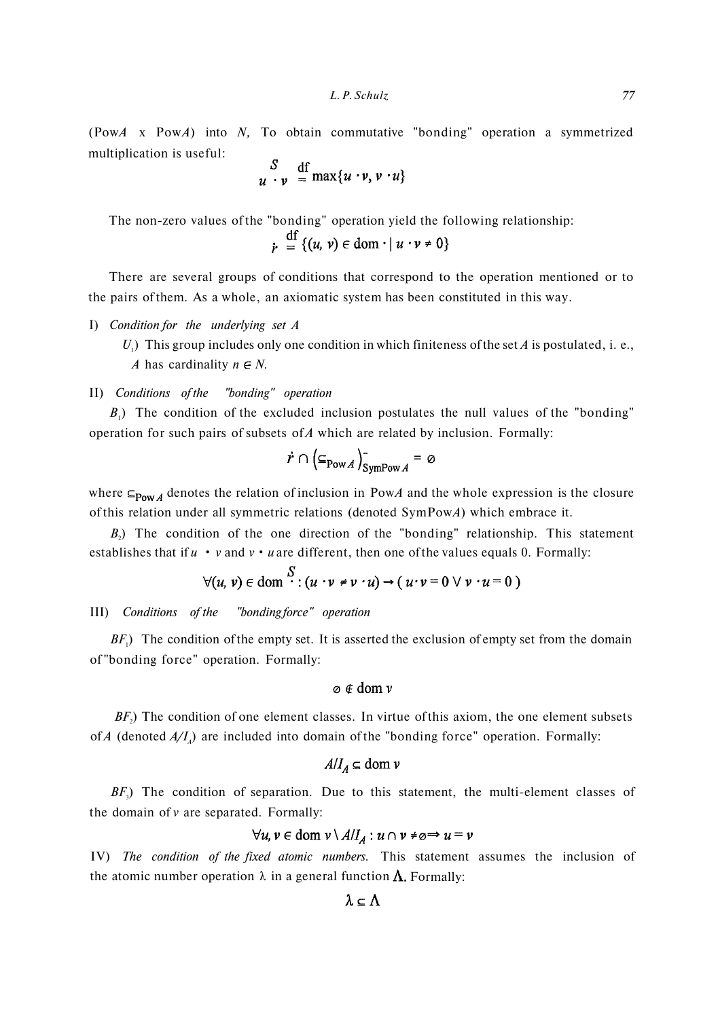(Pow*A* x Pow*A*) into *N,* To obtain commutative "bonding" operation a symmetrized multiplication is useful:

$$
\begin{array}{c}\nS \quad \text{df} \\
u \cdot v \quad = \max\{u \cdot v, v \cdot u\}\n\end{array}
$$

The non-zero values of the "bonding" operation yield the following relationship:<br> $\frac{df}{d\theta}$ <br> $\frac{f(u, v) \in \text{dom} \cdot | u \cdot v \neq 0}$ 

There are several groups of conditions that correspond to the operation mentioned or to the pairs of them. As a whole, an axiomatic system has been constituted in this way.

- I) *Condition for the underlying set A* 
	- $U_1$ ) This group includes only one condition in which finiteness of the set A is postulated, i. e., *A* has cardinality  $n \in N$ .

## II) *Conditions of the "bonding" operation*

 $B_1$ ) The condition of the excluded inclusion postulates the null values of the "bonding" operation for such pairs of subsets of *A* which are related by inclusion. Formally:

$$
\dot{r} \cap \left(\subseteq_{\text{Pow }A}\right)_{\text{SymPow }A}^{-} = \emptyset
$$

where  $\epsilon_{\text{Pow}}$  denotes the relation of inclusion in PowA and the whole expression is the closure of this relation under all symmetric relations (denoted SymPow*A*) which embrace it.

 $B_2$ ) The condition of the one direction of the "bonding" relationship. This statement establishes that if  $u \cdot v$  and  $v \cdot u$  are different, then one of the values equals 0. Formally:

$$
\forall (u, v) \in \text{dom} \stackrel{S}{\cdot} : (u \cdot v \neq v \cdot u) \rightarrow (u \cdot v = 0 \vee v \cdot u = 0)
$$

### III) *Conditions of the "bonding force" operation*

 $BF<sub>1</sub>$ ) The condition of the empty set. It is asserted the exclusion of empty set from the domain of "bonding force" operation. Formally:

## $\varphi \notin \text{dom } v$

 $BF<sub>2</sub>$ ) The condition of one element classes. In virtue of this axiom, the one element subsets of *A* (denoted  $A/I_A$ ) are included into domain of the "bonding force" operation. Formally:

## $A/I_A \subseteq$  dom  $\nu$

*BF*<sub>3</sub>) The condition of separation. Due to this statement, the multi-element classes of the domain of *v* are separated. Formally:

## $\forall u, v \in \text{dom } v \setminus A/I_A : u \cap v \neq \emptyset \Rightarrow u = v$

IV) *The condition of the fixed atomic numbers.* This statement assumes the inclusion of the atomic number operation  $\lambda$  in a general function  $\Lambda$ . Formally:

$$
\lambda\subseteq\Lambda
$$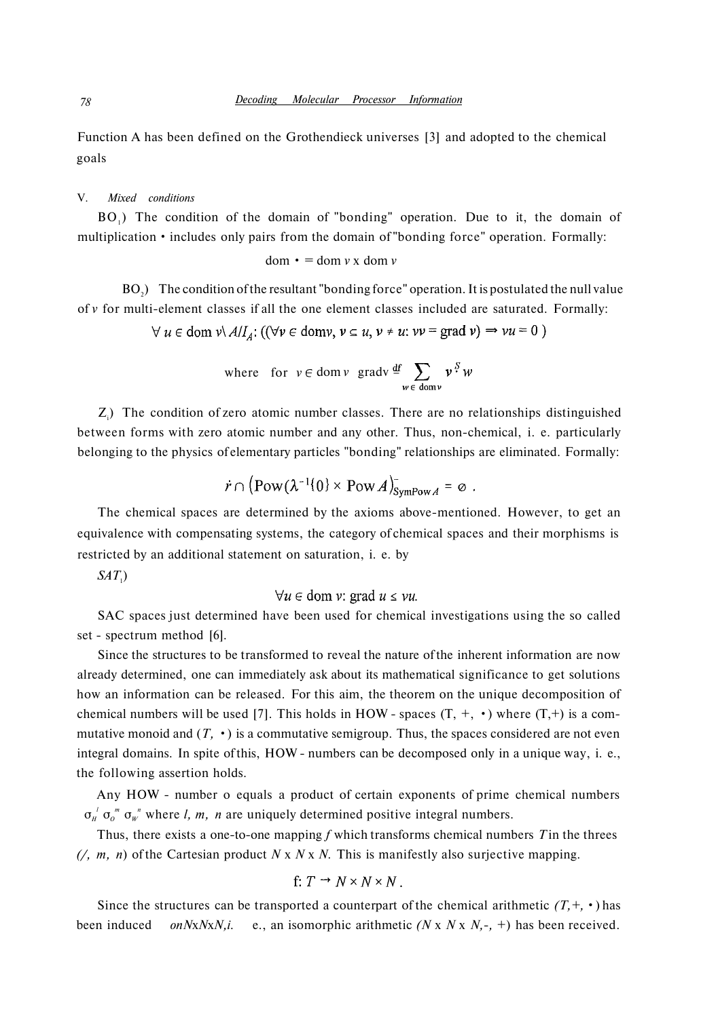Function A has been defined on the Grothendieck universes [3] and adopted to the chemical goals

### V. *Mixed conditions*

 $BO<sub>1</sub>$ ) The condition of the domain of "bonding" operation. Due to it, the domain of multiplication • includes only pairs from the domain of "bonding force" operation. Formally:

$$
dom \cdot = dom v \times dom v
$$

 $BO<sub>2</sub>$ ) The condition of the resultant "bonding force" operation. It is postulated the null value of *v* for multi-element classes if all the one element classes included are saturated. Formally:

 $\forall u \in \text{dom } v \setminus A/I_A: ((\forall v \in \text{dom} v, v \subseteq u, v \neq u: vv = \text{grad } v) \Rightarrow vu = 0)$ 

where for 
$$
v \in \text{dom } v
$$
 grad $v \stackrel{\text{df}}{=} \sum_{w \in \text{dom } v} v^S w$ 

 $Z_i$ ) The condition of zero atomic number classes. There are no relationships distinguished between forms with zero atomic number and any other. Thus, non-chemical, i. e. particularly belonging to the physics of elementary particles "bonding" relationships are eliminated. Formally:

$$
\dot{r} \cap (\text{Pow}(\lambda^{-1}\{0\} \times \text{Pow} A)^{-}_{\text{SymPow} A} = \emptyset.
$$

The chemical spaces are determined by the axioms above-mentioned. However, to get an equivalence with compensating systems, the category of chemical spaces and their morphisms is restricted by an additional statement on saturation, i. e. by

*SAT*<sub>1</sub>)

### $\forall u \in \text{dom } v: \text{grad } u \leq vu.$

SAC spaces just determined have been used for chemical investigations using the so called set - spectrum method [6].

Since the structures to be transformed to reveal the nature of the inherent information are now already determined, one can immediately ask about its mathematical significance to get solutions how an information can be released. For this aim, the theorem on the unique decomposition of chemical numbers will be used [7]. This holds in HOW - spaces  $(T, +, \cdot)$  where  $(T, +)$  is a commutative monoid and  $(T, \cdot)$  is a commutative semigroup. Thus, the spaces considered are not even integral domains. In spite of this, HOW - numbers can be decomposed only in a unique way, i. e., the following assertion holds.

Any HOW - number o equals a product of certain exponents of prime chemical numbers  $\sigma_{H}^{l}$   $\sigma_{o}^{m}$   $\sigma_{w}^{n}$  where *l, m, n* are uniquely determined positive integral numbers.

Thus, there exists a one-to-one mapping ƒ which transforms chemical numbers *T* in the threes *(/, m, n*) of the Cartesian product *N* x *N* x *N.* This is manifestly also surjective mapping.

$$
f: T \to N \times N \times N
$$
.

Since the structures can be transported a counterpart of the chemical arithmetic  $(T, +, \cdot)$  has been induced *onN*x*N*x*N,i.* e., an isomorphic arithmetic *(N* x *N* x *N,-,* +) has been received.